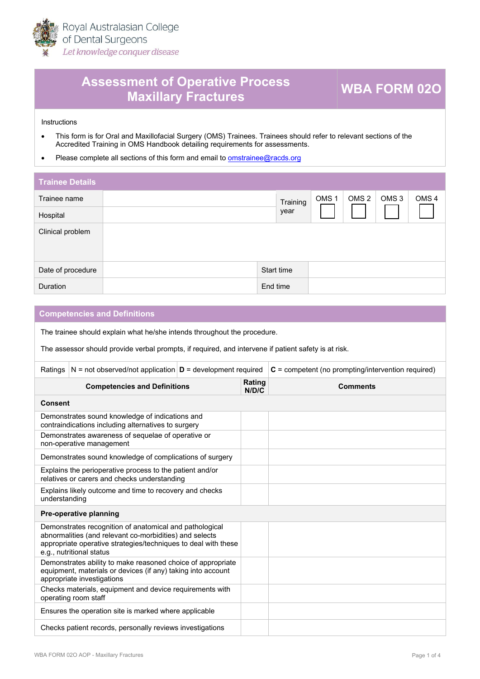

## **Assessment of Operative Process Maxillary Fractures WBA FORM 02O**

**Instructions** 

- This form is for Oral and Maxillofacial Surgery (OMS) Trainees. Trainees should refer to relevant sections of the [Accred](https://racds.org/accredited-training-in-oms-handbook/)ited Training in OMS Handbook detailing requirements for assessments.
- Please complete all sections of this form and email to oms[trainee@racds.org](mailto:omstrainee@racds.org)

| <b>Trainee Details</b> |            |          |                  |                  |                  |                  |
|------------------------|------------|----------|------------------|------------------|------------------|------------------|
| Trainee name           |            | Training | OMS <sub>1</sub> | OMS <sub>2</sub> | OMS <sub>3</sub> | OMS <sub>4</sub> |
| Hospital               |            | year     |                  |                  |                  |                  |
| Clinical problem       |            |          |                  |                  |                  |                  |
| Date of procedure      | Start time |          |                  |                  |                  |                  |
| Duration               | End time   |          |                  |                  |                  |                  |

## **Competencies and Definitions**

The trainee should explain what he/she intends throughout the procedure.

The assessor should provide verbal prompts, if required, and intervene if patient safety is at risk.

| Ratings                                                                                                                                                                                                          | $N = not observed/not application   D = development required$                                          |                 |                 | $C =$ competent (no prompting/intervention required) |  |  |  |
|------------------------------------------------------------------------------------------------------------------------------------------------------------------------------------------------------------------|--------------------------------------------------------------------------------------------------------|-----------------|-----------------|------------------------------------------------------|--|--|--|
| <b>Competencies and Definitions</b>                                                                                                                                                                              |                                                                                                        | Rating<br>N/D/C | <b>Comments</b> |                                                      |  |  |  |
|                                                                                                                                                                                                                  | <b>Consent</b>                                                                                         |                 |                 |                                                      |  |  |  |
|                                                                                                                                                                                                                  | Demonstrates sound knowledge of indications and<br>contraindications including alternatives to surgery |                 |                 |                                                      |  |  |  |
|                                                                                                                                                                                                                  | Demonstrates awareness of sequelae of operative or<br>non-operative management                         |                 |                 |                                                      |  |  |  |
|                                                                                                                                                                                                                  | Demonstrates sound knowledge of complications of surgery                                               |                 |                 |                                                      |  |  |  |
| Explains the perioperative process to the patient and/or<br>relatives or carers and checks understanding                                                                                                         |                                                                                                        |                 |                 |                                                      |  |  |  |
| Explains likely outcome and time to recovery and checks<br>understanding                                                                                                                                         |                                                                                                        |                 |                 |                                                      |  |  |  |
|                                                                                                                                                                                                                  | Pre-operative planning                                                                                 |                 |                 |                                                      |  |  |  |
| Demonstrates recognition of anatomical and pathological<br>abnormalities (and relevant co-morbidities) and selects<br>appropriate operative strategies/techniques to deal with these<br>e.g., nutritional status |                                                                                                        |                 |                 |                                                      |  |  |  |
| Demonstrates ability to make reasoned choice of appropriate<br>equipment, materials or devices (if any) taking into account<br>appropriate investigations                                                        |                                                                                                        |                 |                 |                                                      |  |  |  |
| Checks materials, equipment and device requirements with<br>operating room staff                                                                                                                                 |                                                                                                        |                 |                 |                                                      |  |  |  |
| Ensures the operation site is marked where applicable                                                                                                                                                            |                                                                                                        |                 |                 |                                                      |  |  |  |
| Checks patient records, personally reviews investigations                                                                                                                                                        |                                                                                                        |                 |                 |                                                      |  |  |  |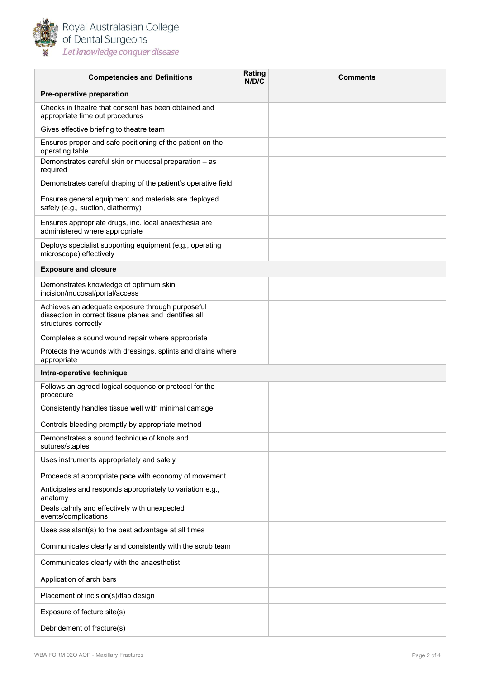

| <b>Competencies and Definitions</b>                                                                                                | Rating<br>N/D/C | <b>Comments</b> |
|------------------------------------------------------------------------------------------------------------------------------------|-----------------|-----------------|
| Pre-operative preparation                                                                                                          |                 |                 |
| Checks in theatre that consent has been obtained and<br>appropriate time out procedures                                            |                 |                 |
| Gives effective briefing to theatre team                                                                                           |                 |                 |
| Ensures proper and safe positioning of the patient on the<br>operating table                                                       |                 |                 |
| Demonstrates careful skin or mucosal preparation - as<br>required                                                                  |                 |                 |
| Demonstrates careful draping of the patient's operative field                                                                      |                 |                 |
| Ensures general equipment and materials are deployed<br>safely (e.g., suction, diathermy)                                          |                 |                 |
| Ensures appropriate drugs, inc. local anaesthesia are<br>administered where appropriate                                            |                 |                 |
| Deploys specialist supporting equipment (e.g., operating<br>microscope) effectively                                                |                 |                 |
| <b>Exposure and closure</b>                                                                                                        |                 |                 |
| Demonstrates knowledge of optimum skin<br>incision/mucosal/portal/access                                                           |                 |                 |
| Achieves an adequate exposure through purposeful<br>dissection in correct tissue planes and identifies all<br>structures correctly |                 |                 |
| Completes a sound wound repair where appropriate                                                                                   |                 |                 |
| Protects the wounds with dressings, splints and drains where<br>appropriate                                                        |                 |                 |
| Intra-operative technique                                                                                                          |                 |                 |
| Follows an agreed logical sequence or protocol for the<br>procedure                                                                |                 |                 |
| Consistently handles tissue well with minimal damage                                                                               |                 |                 |
| Controls bleeding promptly by appropriate method                                                                                   |                 |                 |
| Demonstrates a sound technique of knots and<br>sutures/staples                                                                     |                 |                 |
| Uses instruments appropriately and safely                                                                                          |                 |                 |
| Proceeds at appropriate pace with economy of movement                                                                              |                 |                 |
| Anticipates and responds appropriately to variation e.g.,<br>anatomy                                                               |                 |                 |
| Deals calmly and effectively with unexpected<br>events/complications                                                               |                 |                 |
| Uses assistant(s) to the best advantage at all times                                                                               |                 |                 |
| Communicates clearly and consistently with the scrub team                                                                          |                 |                 |
| Communicates clearly with the anaesthetist                                                                                         |                 |                 |
| Application of arch bars                                                                                                           |                 |                 |
| Placement of incision(s)/flap design                                                                                               |                 |                 |
| Exposure of facture site(s)                                                                                                        |                 |                 |
| Debridement of fracture(s)                                                                                                         |                 |                 |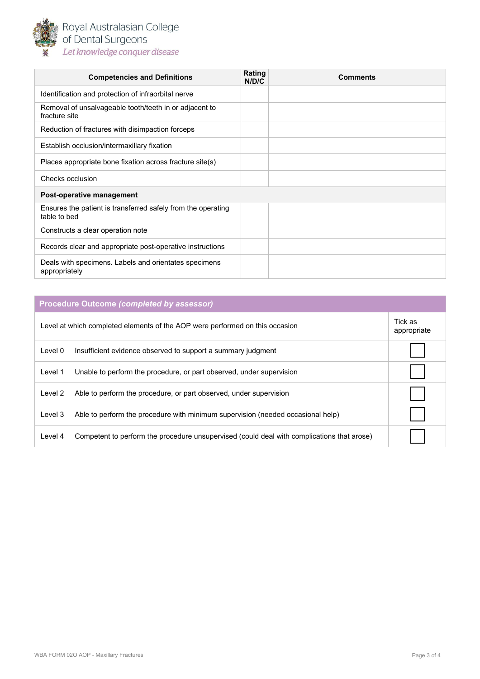

Royal Australasian College<br>of Dental Surgeons Let knowledge conquer disease

| <b>Competencies and Definitions</b>                                          | Rating<br>N/D/C | <b>Comments</b> |
|------------------------------------------------------------------------------|-----------------|-----------------|
| Identification and protection of infraorbital nerve                          |                 |                 |
| Removal of unsalvageable tooth/teeth in or adjacent to<br>fracture site      |                 |                 |
| Reduction of fractures with disimpaction forceps                             |                 |                 |
| Establish occlusion/intermaxillary fixation                                  |                 |                 |
| Places appropriate bone fixation across fracture site(s)                     |                 |                 |
| Checks occlusion                                                             |                 |                 |
| Post-operative management                                                    |                 |                 |
| Ensures the patient is transferred safely from the operating<br>table to bed |                 |                 |
| Constructs a clear operation note                                            |                 |                 |
| Records clear and appropriate post-operative instructions                    |                 |                 |
| Deals with specimens. Labels and orientates specimens<br>appropriately       |                 |                 |

| <b>Procedure Outcome (completed by assessor)</b>                             |                                                                                            |  |  |  |  |
|------------------------------------------------------------------------------|--------------------------------------------------------------------------------------------|--|--|--|--|
| Level at which completed elements of the AOP were performed on this occasion |                                                                                            |  |  |  |  |
| Level 0                                                                      | Insufficient evidence observed to support a summary judgment                               |  |  |  |  |
| Level 1                                                                      | Unable to perform the procedure, or part observed, under supervision                       |  |  |  |  |
| Level 2                                                                      | Able to perform the procedure, or part observed, under supervision                         |  |  |  |  |
| Level 3                                                                      | Able to perform the procedure with minimum supervision (needed occasional help)            |  |  |  |  |
| Level 4                                                                      | Competent to perform the procedure unsupervised (could deal with complications that arose) |  |  |  |  |